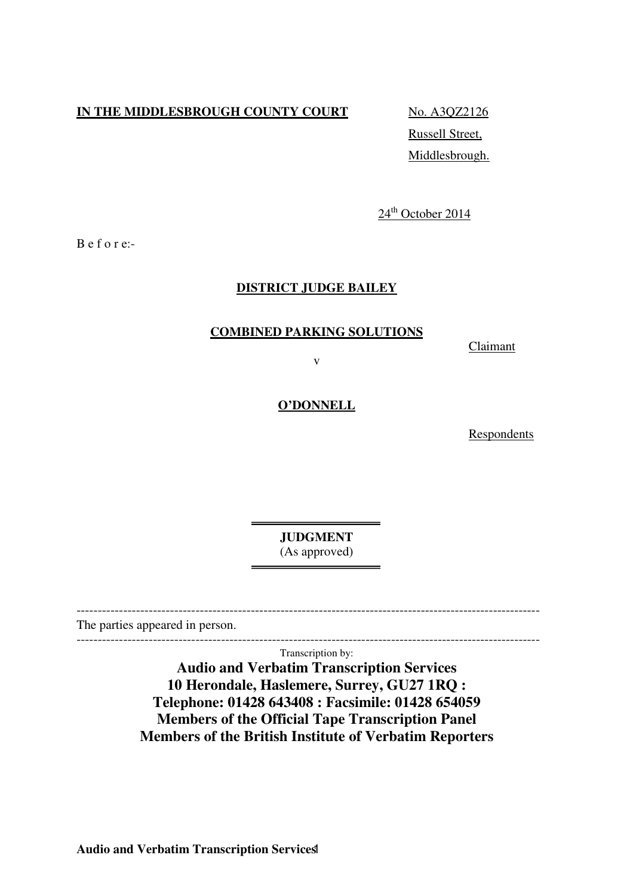# **IN THE MIDDLESBROUGH COUNTY COURT** No. A3QZ2126

Russell Street, Middlesbrough.

24<sup>th</sup> October 2014

B e f o r e:-

### **DISTRICT JUDGE BAILEY**

## **COMBINED PARKING SOLUTIONS**

**Claimant** 

v

### **O'DONNELL**

Respondents

**JUDGMENT**  (As approved)

The parties appeared in person.

------------------------------------------------------------------------------------------------------------- Transcription by:

-------------------------------------------------------------------------------------------------------------

**Audio and Verbatim Transcription Services 10 Herondale, Haslemere, Surrey, GU27 1RQ : Telephone: 01428 643408 : Facsimile: 01428 654059 Members of the Official Tape Transcription Panel Members of the British Institute of Verbatim Reporters**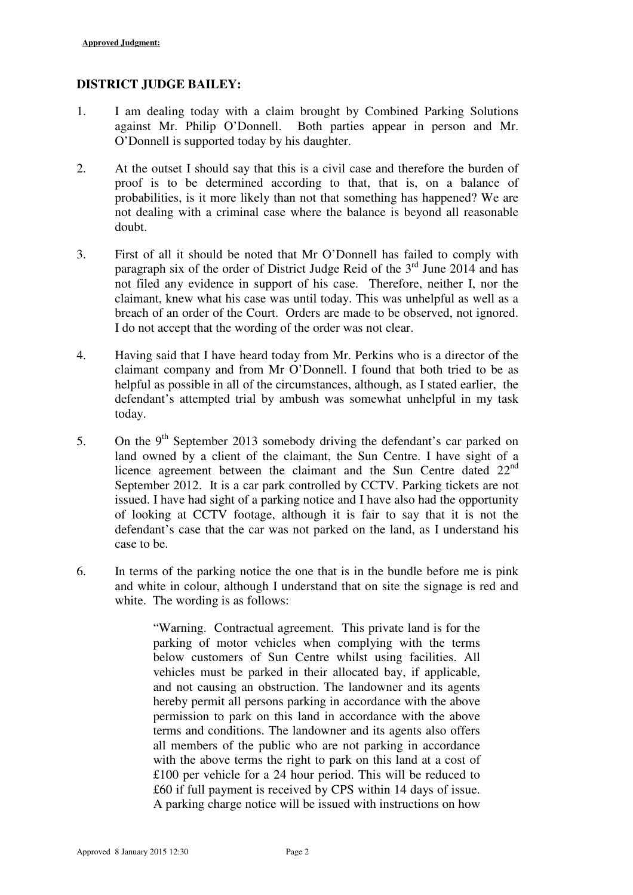## **DISTRICT JUDGE BAILEY:**

- 1. I am dealing today with a claim brought by Combined Parking Solutions against Mr. Philip O'Donnell. Both parties appear in person and Mr. O'Donnell is supported today by his daughter.
- 2. At the outset I should say that this is a civil case and therefore the burden of proof is to be determined according to that, that is, on a balance of probabilities, is it more likely than not that something has happened? We are not dealing with a criminal case where the balance is beyond all reasonable doubt.
- 3. First of all it should be noted that Mr O'Donnell has failed to comply with paragraph six of the order of District Judge Reid of the  $3<sup>rd</sup>$  June 2014 and has not filed any evidence in support of his case. Therefore, neither I, nor the claimant, knew what his case was until today. This was unhelpful as well as a breach of an order of the Court. Orders are made to be observed, not ignored. I do not accept that the wording of the order was not clear.
- 4. Having said that I have heard today from Mr. Perkins who is a director of the claimant company and from Mr O'Donnell. I found that both tried to be as helpful as possible in all of the circumstances, although, as I stated earlier, the defendant's attempted trial by ambush was somewhat unhelpful in my task today.
- 5. On the  $9<sup>th</sup>$  September 2013 somebody driving the defendant's car parked on land owned by a client of the claimant, the Sun Centre. I have sight of a licence agreement between the claimant and the Sun Centre dated 22<sup>nd</sup> September 2012. It is a car park controlled by CCTV. Parking tickets are not issued. I have had sight of a parking notice and I have also had the opportunity of looking at CCTV footage, although it is fair to say that it is not the defendant's case that the car was not parked on the land, as I understand his case to be.
- 6. In terms of the parking notice the one that is in the bundle before me is pink and white in colour, although I understand that on site the signage is red and white. The wording is as follows:

"Warning. Contractual agreement. This private land is for the parking of motor vehicles when complying with the terms below customers of Sun Centre whilst using facilities. All vehicles must be parked in their allocated bay, if applicable, and not causing an obstruction. The landowner and its agents hereby permit all persons parking in accordance with the above permission to park on this land in accordance with the above terms and conditions. The landowner and its agents also offers all members of the public who are not parking in accordance with the above terms the right to park on this land at a cost of £100 per vehicle for a 24 hour period. This will be reduced to £60 if full payment is received by CPS within 14 days of issue. A parking charge notice will be issued with instructions on how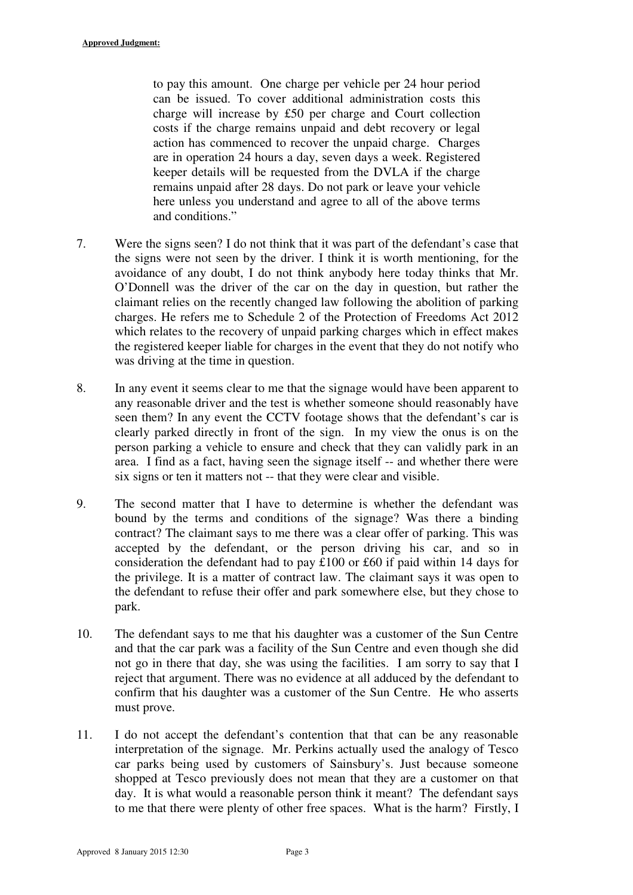to pay this amount. One charge per vehicle per 24 hour period can be issued. To cover additional administration costs this charge will increase by £50 per charge and Court collection costs if the charge remains unpaid and debt recovery or legal action has commenced to recover the unpaid charge. Charges are in operation 24 hours a day, seven days a week. Registered keeper details will be requested from the DVLA if the charge remains unpaid after 28 days. Do not park or leave your vehicle here unless you understand and agree to all of the above terms and conditions."

- 7. Were the signs seen? I do not think that it was part of the defendant's case that the signs were not seen by the driver. I think it is worth mentioning, for the avoidance of any doubt, I do not think anybody here today thinks that Mr. O'Donnell was the driver of the car on the day in question, but rather the claimant relies on the recently changed law following the abolition of parking charges. He refers me to Schedule 2 of the Protection of Freedoms Act 2012 which relates to the recovery of unpaid parking charges which in effect makes the registered keeper liable for charges in the event that they do not notify who was driving at the time in question.
- 8. In any event it seems clear to me that the signage would have been apparent to any reasonable driver and the test is whether someone should reasonably have seen them? In any event the CCTV footage shows that the defendant's car is clearly parked directly in front of the sign. In my view the onus is on the person parking a vehicle to ensure and check that they can validly park in an area. I find as a fact, having seen the signage itself -- and whether there were six signs or ten it matters not -- that they were clear and visible.
- 9. The second matter that I have to determine is whether the defendant was bound by the terms and conditions of the signage? Was there a binding contract? The claimant says to me there was a clear offer of parking. This was accepted by the defendant, or the person driving his car, and so in consideration the defendant had to pay £100 or £60 if paid within 14 days for the privilege. It is a matter of contract law. The claimant says it was open to the defendant to refuse their offer and park somewhere else, but they chose to park.
- 10. The defendant says to me that his daughter was a customer of the Sun Centre and that the car park was a facility of the Sun Centre and even though she did not go in there that day, she was using the facilities. I am sorry to say that I reject that argument. There was no evidence at all adduced by the defendant to confirm that his daughter was a customer of the Sun Centre. He who asserts must prove.
- 11. I do not accept the defendant's contention that that can be any reasonable interpretation of the signage. Mr. Perkins actually used the analogy of Tesco car parks being used by customers of Sainsbury's. Just because someone shopped at Tesco previously does not mean that they are a customer on that day. It is what would a reasonable person think it meant? The defendant says to me that there were plenty of other free spaces. What is the harm? Firstly, I